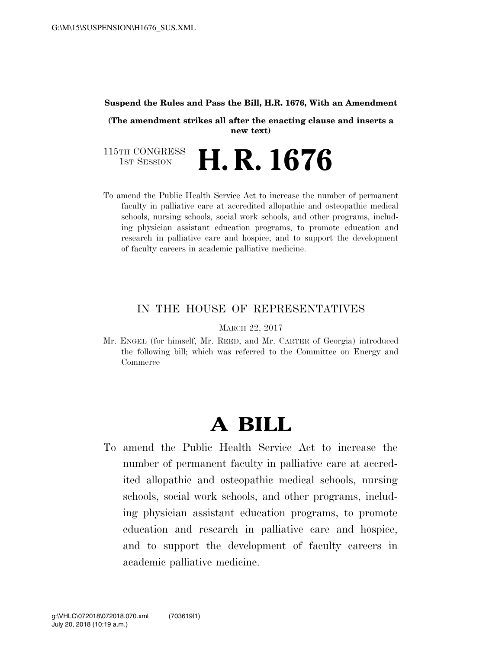#### **Suspend the Rules and Pass the Bill, H.R. 1676, With an Amendment**

**(The amendment strikes all after the enacting clause and inserts a new text)** 

115TH CONGRESS<br>1st Session H. R. 1676

To amend the Public Health Service Act to increase the number of permanent faculty in palliative care at accredited allopathic and osteopathic medical schools, nursing schools, social work schools, and other programs, including physician assistant education programs, to promote education and research in palliative care and hospice, and to support the development of faculty careers in academic palliative medicine.

#### IN THE HOUSE OF REPRESENTATIVES

MARCH 22, 2017

Mr. ENGEL (for himself, Mr. REED, and Mr. CARTER of Georgia) introduced the following bill; which was referred to the Committee on Energy and Commerce

# **A BILL**

To amend the Public Health Service Act to increase the number of permanent faculty in palliative care at accredited allopathic and osteopathic medical schools, nursing schools, social work schools, and other programs, including physician assistant education programs, to promote education and research in palliative care and hospice, and to support the development of faculty careers in academic palliative medicine.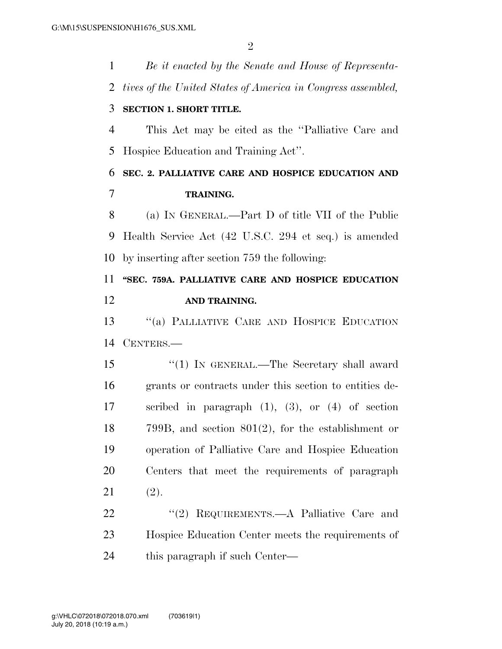*Be it enacted by the Senate and House of Representa- tives of the United States of America in Congress assembled,*  **SECTION 1. SHORT TITLE.**  This Act may be cited as the ''Palliative Care and Hospice Education and Training Act''. **SEC. 2. PALLIATIVE CARE AND HOSPICE EDUCATION AND TRAINING.**  (a) IN GENERAL.—Part D of title VII of the Public Health Service Act (42 U.S.C. 294 et seq.) is amended by inserting after section 759 the following: **''SEC. 759A. PALLIATIVE CARE AND HOSPICE EDUCATION AND TRAINING.**  ''(a) PALLIATIVE CARE AND HOSPICE EDUCATION CENTERS.— 15 "(1) IN GENERAL.—The Secretary shall award grants or contracts under this section to entities de- scribed in paragraph (1), (3), or (4) of section 799B, and section 801(2), for the establishment or operation of Palliative Care and Hospice Education Centers that meet the requirements of paragraph (2). 22 "(2) REQUIREMENTS.—A Palliative Care and Hospice Education Center meets the requirements of this paragraph if such Center—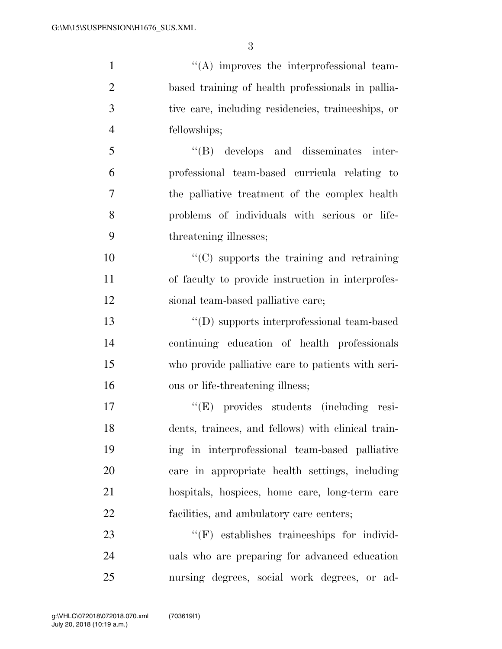$\langle (A) \rangle$  improves the interprofessional team- based training of health professionals in pallia- tive care, including residencies, traineeships, or fellowships; ''(B) develops and disseminates inter- professional team-based curricula relating to the palliative treatment of the complex health problems of individuals with serious or life- threatening illnesses; ''(C) supports the training and retraining of faculty to provide instruction in interprofes- sional team-based palliative care; ''(D) supports interprofessional team-based continuing education of health professionals who provide palliative care to patients with seri-

 ''(E) provides students (including resi- dents, trainees, and fellows) with clinical train- ing in interprofessional team-based palliative care in appropriate health settings, including hospitals, hospices, home care, long-term care facilities, and ambulatory care centers;

16 ous or life-threatening illness;

23  $\langle f$  (F) establishes traineeships for individ- uals who are preparing for advanced education nursing degrees, social work degrees, or ad-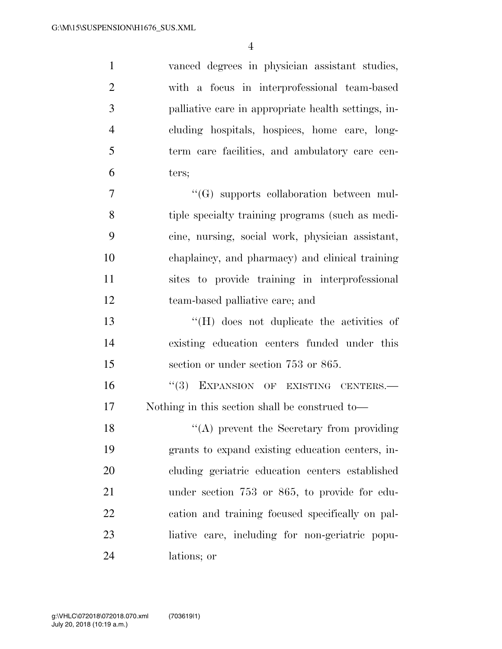vanced degrees in physician assistant studies, with a focus in interprofessional team-based palliative care in appropriate health settings, in- cluding hospitals, hospices, home care, long- term care facilities, and ambulatory care cen- ters; ''(G) supports collaboration between mul- tiple specialty training programs (such as medi- cine, nursing, social work, physician assistant, chaplaincy, and pharmacy) and clinical training sites to provide training in interprofessional team-based palliative care; and ''(H) does not duplicate the activities of existing education centers funded under this section or under section 753 or 865. 16 "(3) EXPANSION OF EXISTING CENTERS.— Nothing in this section shall be construed to— 18 "(A) prevent the Secretary from providing grants to expand existing education centers, in- cluding geriatric education centers established under section 753 or 865, to provide for edu- cation and training focused specifically on pal-liative care, including for non-geriatric popu-

lations; or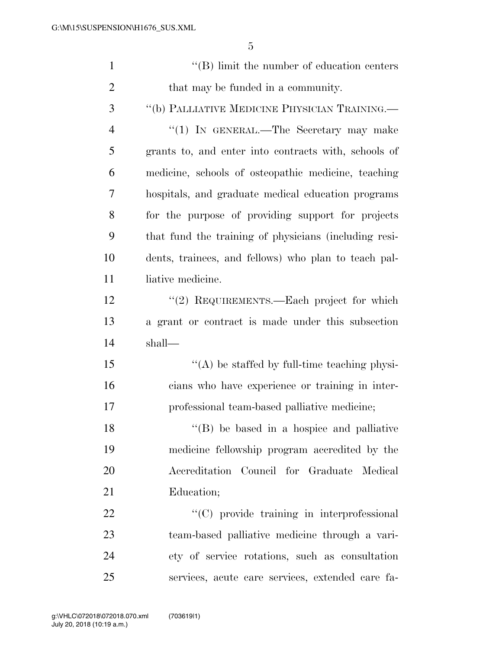| $\mathbf{1}$   | $\lq\lq$ (B) limit the number of education centers    |
|----------------|-------------------------------------------------------|
| $\overline{2}$ | that may be funded in a community.                    |
| 3              | "(b) PALLIATIVE MEDICINE PHYSICIAN TRAINING.—         |
| $\overline{4}$ | "(1) IN GENERAL.—The Secretary may make               |
| 5              | grants to, and enter into contracts with, schools of  |
| 6              | medicine, schools of osteopathic medicine, teaching   |
| 7              | hospitals, and graduate medical education programs    |
| 8              | for the purpose of providing support for projects     |
| 9              | that fund the training of physicians (including resi- |
| 10             | dents, trainees, and fellows) who plan to teach pal-  |
| 11             | liative medicine.                                     |
| 12             | "(2) REQUIREMENTS.—Each project for which             |
| 13             | a grant or contract is made under this subsection     |
| 14             | shall—                                                |
| 15             | $\lq\lq$ be staffed by full-time teaching physi-      |
| 16             | cians who have experience or training in inter-       |
| 17             | professional team-based palliative medicine;          |
| 18             | $\lq\lq (B)$ be based in a hospice and palliative     |
| 19             | medicine fellowship program accredited by the         |
| 20             | Accreditation Council for Graduate Medical            |
| 21             | Education;                                            |
| 22             | "(C) provide training in interprofessional            |
| 23             | team-based palliative medicine through a vari-        |
| 24             | ety of service rotations, such as consultation        |
| 25             | services, acute care services, extended care fa-      |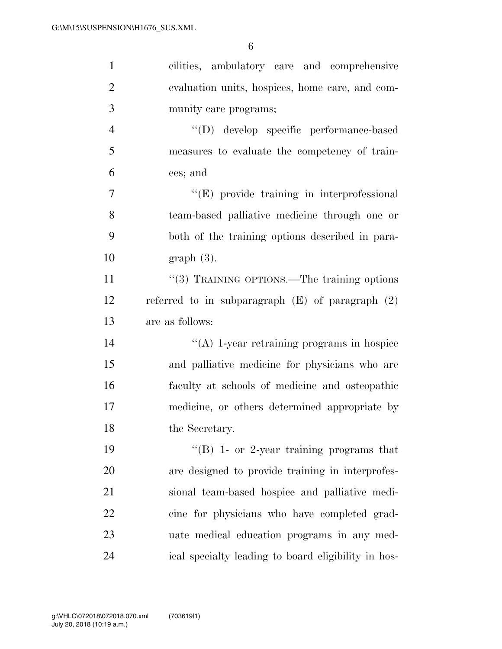| $\mathbf{1}$   | cilities, ambulatory care and comprehensive          |
|----------------|------------------------------------------------------|
| $\overline{2}$ | evaluation units, hospices, home care, and com-      |
| 3              | munity care programs;                                |
| $\overline{4}$ | "(D) develop specific performance-based              |
| 5              | measures to evaluate the competency of train-        |
| 6              | ees; and                                             |
| 7              | $\lq\lq(E)$ provide training in interprofessional    |
| 8              | team-based palliative medicine through one or        |
| 9              | both of the training options described in para-      |
| 10             | $graph(3)$ .                                         |
| 11             | "(3) TRAINING OPTIONS.—The training options          |
| 12             | referred to in subparagraph $(E)$ of paragraph $(2)$ |
| 13             | are as follows:                                      |
| 14             | $\lq\lq$ (A) 1-year retraining programs in hospice   |
| 15             | and palliative medicine for physicians who are       |
| 16             | faculty at schools of medicine and osteopathic       |
| 17             | medicine, or others determined appropriate by        |
| 18             | the Secretary.                                       |
| 19             | "(B) 1- or 2-year training programs that             |
| 20             | are designed to provide training in interprofes-     |
| 21             | sional team-based hospice and palliative medi-       |
| 22             | cine for physicians who have completed grad-         |
|                |                                                      |
| 23             | uate medical education programs in any med-          |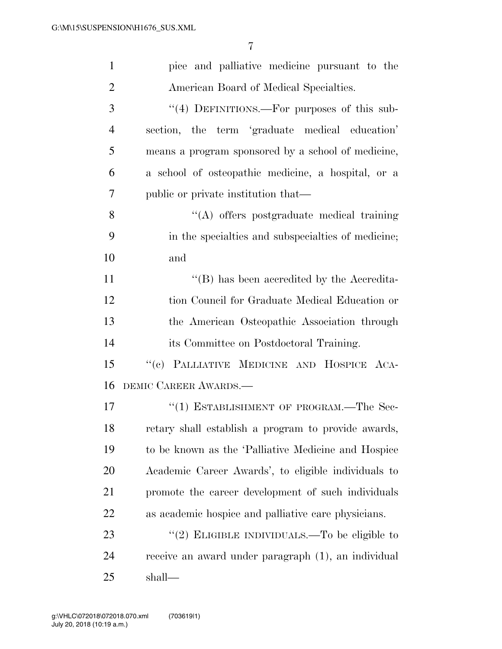| $\mathbf{1}$   | pice and palliative medicine pursuant to the        |
|----------------|-----------------------------------------------------|
| $\overline{2}$ | American Board of Medical Specialties.              |
| 3              | "(4) DEFINITIONS.—For purposes of this sub-         |
| $\overline{4}$ | section, the term 'graduate medical education'      |
| 5              | means a program sponsored by a school of medicine,  |
| 6              | a school of osteopathic medicine, a hospital, or a  |
| 7              | public or private institution that—                 |
| 8              | "(A) offers postgraduate medical training           |
| 9              | in the specialties and subspecialties of medicine;  |
| 10             | and                                                 |
| 11             | "(B) has been accredited by the Accredita-          |
| 12             | tion Council for Graduate Medical Education or      |
| 13             | the American Osteopathic Association through        |
| 14             | its Committee on Postdoctoral Training.             |
| 15             | "(c) PALLIATIVE MEDICINE AND HOSPICE ACA-           |
| 16             | DEMIC CAREER AWARDS.                                |
| 17             | "(1) ESTABLISHMENT OF PROGRAM.—The Sec-             |
| 18             | retary shall establish a program to provide awards, |
| 19             | to be known as the 'Palliative Medicine and Hospice |
| 20             | Academic Career Awards', to eligible individuals to |
| 21             | promote the career development of such individuals  |
| 22             | as academic hospice and palliative care physicians. |
| 23             | "(2) ELIGIBLE INDIVIDUALS.—To be eligible to        |
| 24             | receive an award under paragraph (1), an individual |
| 25             | shall—                                              |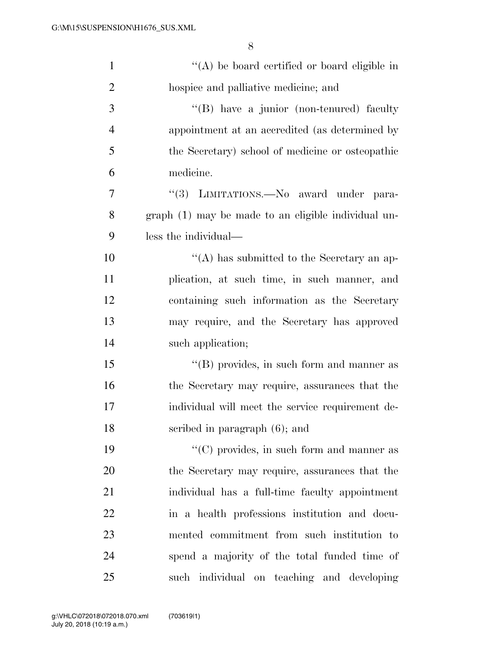| $\mathbf{1}$   | "(A) be board certified or board eligible in        |
|----------------|-----------------------------------------------------|
| $\overline{2}$ | hospice and palliative medicine; and                |
| 3              | "(B) have a junior (non-tenured) faculty            |
| $\overline{4}$ | appointment at an accredited (as determined by      |
| 5              | the Secretary) school of medicine or osteopathic    |
| 6              | medicine.                                           |
| 7              | "(3) LIMITATIONS.—No award under para-              |
| 8              | graph (1) may be made to an eligible individual un- |
| 9              | less the individual—                                |
| 10             | "(A) has submitted to the Secretary an ap-          |
| 11             | plication, at such time, in such manner, and        |
| 12             | containing such information as the Secretary        |
| 13             | may require, and the Secretary has approved         |
| 14             | such application;                                   |
| 15             | "(B) provides, in such form and manner as           |
| 16             | the Secretary may require, assurances that the      |
| 17             | individual will meet the service requirement de-    |
| 18             | scribed in paragraph $(6)$ ; and                    |
| 19             | $\lq\lq$ (C) provides, in such form and manner as   |
| 20             | the Secretary may require, assurances that the      |
| 21             | individual has a full-time faculty appointment      |
| 22             | in a health professions institution and docu-       |
| 23             | mented commitment from such institution to          |
| 24             | spend a majority of the total funded time of        |
| 25             | such individual on teaching and developing          |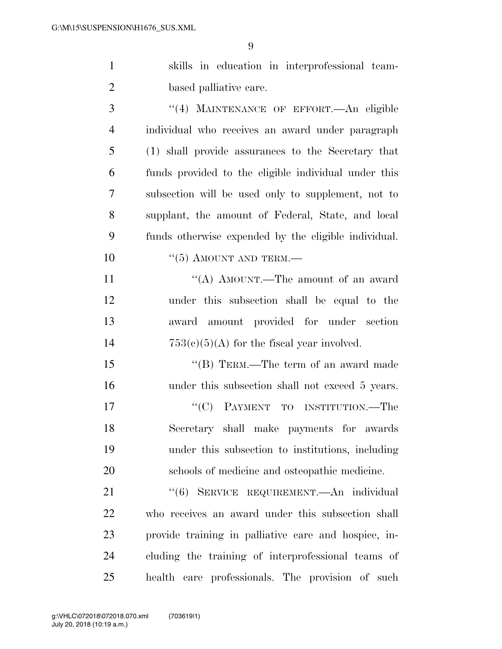| $\mathbf{1}$   | skills in education in interprofessional team-       |
|----------------|------------------------------------------------------|
| $\overline{2}$ | based palliative care.                               |
| 3              | "(4) MAINTENANCE OF EFFORT. An eligible              |
| $\overline{4}$ | individual who receives an award under paragraph     |
| 5              | (1) shall provide assurances to the Secretary that   |
| 6              | funds provided to the eligible individual under this |
| 7              | subsection will be used only to supplement, not to   |
| 8              | supplant, the amount of Federal, State, and local    |
| 9              | funds otherwise expended by the eligible individual. |
| 10             | $\cdot\cdot$ (5) AMOUNT AND TERM.—                   |
| 11             | "(A) AMOUNT.—The amount of an award                  |
| 12             | under this subsection shall be equal to the          |
| 13             | award amount provided for under section              |
| 14             | $753(c)(5)(A)$ for the fiscal year involved.         |
| 15             | "(B) TERM.—The term of an award made                 |
| 16             | under this subsection shall not exceed 5 years.      |
| 17             | "(C) PAYMENT TO INSTITUTION.—The                     |
| 18             | Secretary shall make payments for awards             |
| 19             | under this subsection to institutions, including     |
| 20             | schools of medicine and osteopathic medicine.        |
| 21             | "(6) SERVICE REQUIREMENT.—An individual              |
| 22             | who receives an award under this subsection shall    |
| 23             | provide training in palliative care and hospice, in- |
| 24             | cluding the training of interprofessional teams of   |

health care professionals. The provision of such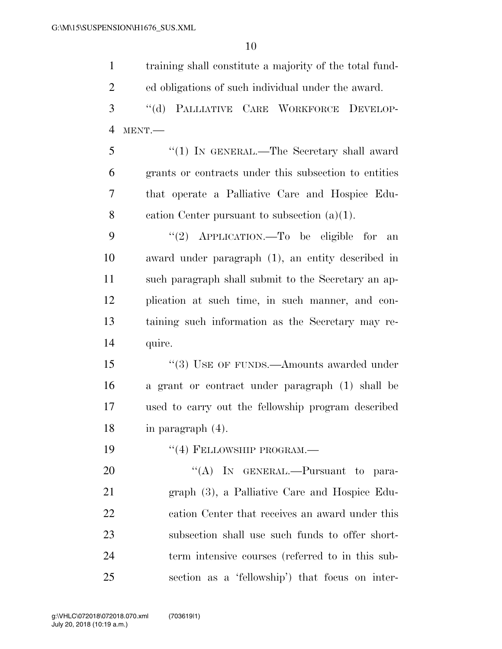| $\mathbf{1}$   | training shall constitute a majority of the total fund- |
|----------------|---------------------------------------------------------|
| $\overline{2}$ | ed obligations of such individual under the award.      |
| 3              | PALLIATIVE CARE WORKFORCE DEVELOP-<br>$``$ (d)          |
| $\overline{4}$ | MENT.-                                                  |
| 5              | "(1) IN GENERAL.—The Secretary shall award              |
| 6              | grants or contracts under this subsection to entities   |
| 7              | that operate a Palliative Care and Hospice Edu-         |
| 8              | cation Center pursuant to subsection $(a)(1)$ .         |
| 9              | "(2) $APPLICATION.$ To be eligible for<br>an            |
| 10             | award under paragraph (1), an entity described in       |
| 11             | such paragraph shall submit to the Secretary an ap-     |
| 12             | plication at such time, in such manner, and con-        |
| 13             | taining such information as the Secretary may re-       |
| 14             | quire.                                                  |
| 15             | $``(3)$ USE OF FUNDS.—Amounts awarded under             |
| 16             | a grant or contract under paragraph (1) shall be        |
| 17             | used to carry out the fellowship program described      |
| 18             | in paragraph $(4)$ .                                    |
| 19             | $``(4)$ FELLOWSHIP PROGRAM.—                            |
| 20             | "(A) IN GENERAL.—Pursuant to para-                      |
| 21             | graph (3), a Palliative Care and Hospice Edu-           |
| 22             | cation Center that receives an award under this         |
| 23             | subsection shall use such funds to offer short-         |
| 24             | term intensive courses (referred to in this sub-        |
| 25             | section as a 'fellowship') that focus on inter-         |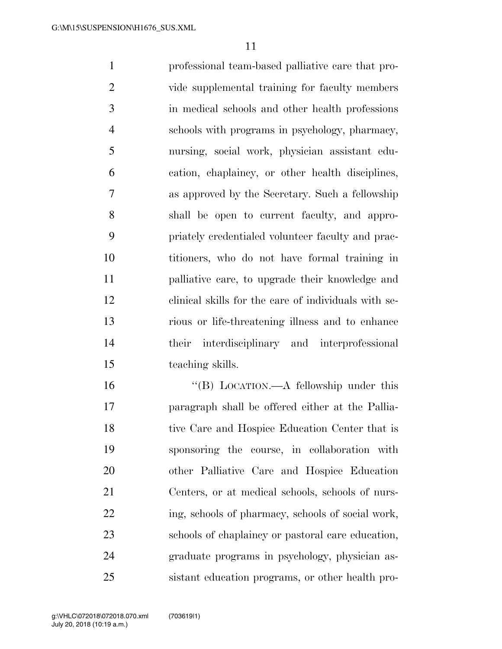professional team-based palliative care that pro- vide supplemental training for faculty members in medical schools and other health professions schools with programs in psychology, pharmacy, nursing, social work, physician assistant edu- cation, chaplaincy, or other health disciplines, as approved by the Secretary. Such a fellowship shall be open to current faculty, and appro- priately credentialed volunteer faculty and prac- titioners, who do not have formal training in palliative care, to upgrade their knowledge and clinical skills for the care of individuals with se- rious or life-threatening illness and to enhance their interdisciplinary and interprofessional teaching skills.

 ''(B) LOCATION.—A fellowship under this paragraph shall be offered either at the Pallia-18 tive Care and Hospice Education Center that is sponsoring the course, in collaboration with other Palliative Care and Hospice Education Centers, or at medical schools, schools of nurs-22 ing, schools of pharmacy, schools of social work, schools of chaplaincy or pastoral care education, graduate programs in psychology, physician as-sistant education programs, or other health pro-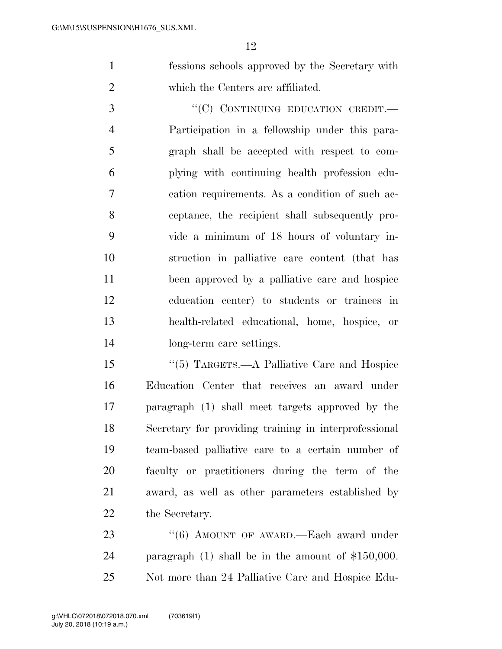fessions schools approved by the Secretary with which the Centers are affiliated.

3 "'(C) CONTINUING EDUCATION CREDIT. Participation in a fellowship under this para- graph shall be accepted with respect to com- plying with continuing health profession edu- cation requirements. As a condition of such ac- ceptance, the recipient shall subsequently pro- vide a minimum of 18 hours of voluntary in- struction in palliative care content (that has been approved by a palliative care and hospice education center) to students or trainees in health-related educational, home, hospice, or long-term care settings.

 ''(5) TARGETS.—A Palliative Care and Hospice Education Center that receives an award under paragraph (1) shall meet targets approved by the Secretary for providing training in interprofessional team-based palliative care to a certain number of faculty or practitioners during the term of the award, as well as other parameters established by the Secretary.

23 "(6) AMOUNT OF AWARD.—Each award under paragraph (1) shall be in the amount of \$150,000. Not more than 24 Palliative Care and Hospice Edu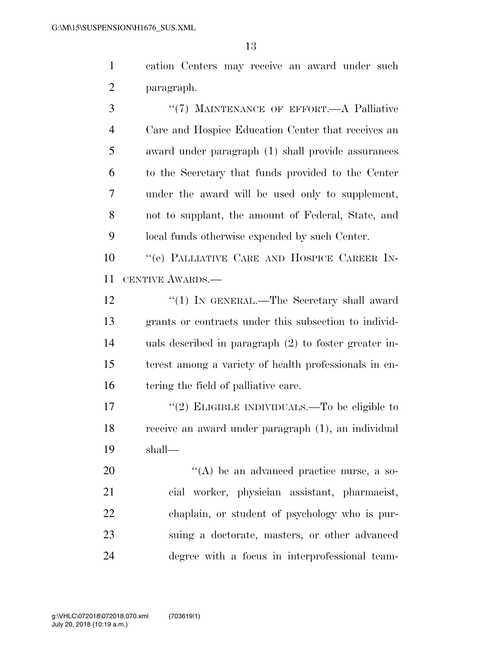cation Centers may receive an award under such paragraph.

3 "(7) MAINTENANCE OF EFFORT.—A Palliative Care and Hospice Education Center that receives an award under paragraph (1) shall provide assurances to the Secretary that funds provided to the Center under the award will be used only to supplement, not to supplant, the amount of Federal, State, and local funds otherwise expended by such Center.

 ''(e) PALLIATIVE CARE AND HOSPICE CAREER IN-CENTIVE AWARDS.—

12 "(1) IN GENERAL.—The Secretary shall award grants or contracts under this subsection to individ- uals described in paragraph (2) to foster greater in- terest among a variety of health professionals in en-16 tering the field of palliative care.

17  $(2)$  ELIGIBLE INDIVIDUALS.—To be eligible to receive an award under paragraph (1), an individual shall—

 $\langle (A)$  be an advanced practice nurse, a so- cial worker, physician assistant, pharmacist, chaplain, or student of psychology who is pur- suing a doctorate, masters, or other advanced degree with a focus in interprofessional team-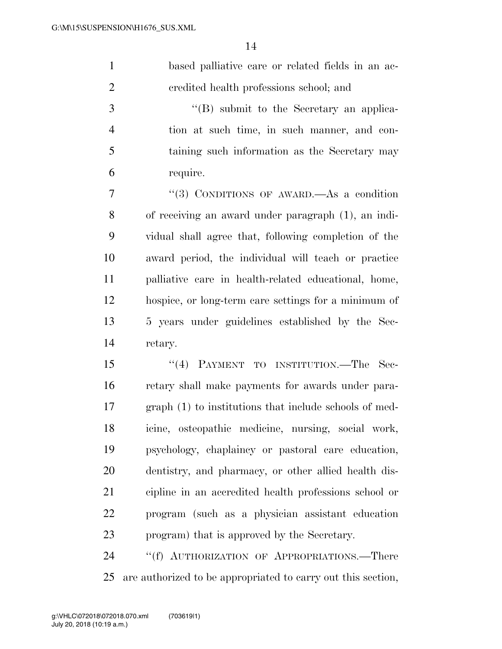| based palliative care or related fields in an ac- |
|---------------------------------------------------|
| credited health professions school; and           |

 ''(B) submit to the Secretary an applica- tion at such time, in such manner, and con- taining such information as the Secretary may require.

 ''(3) CONDITIONS OF AWARD.—As a condition of receiving an award under paragraph (1), an indi- vidual shall agree that, following completion of the award period, the individual will teach or practice palliative care in health-related educational, home, hospice, or long-term care settings for a minimum of 5 years under guidelines established by the Sec-retary.

15 "(4) PAYMENT TO INSTITUTION.—The Sec- retary shall make payments for awards under para- graph (1) to institutions that include schools of med- icine, osteopathic medicine, nursing, social work, psychology, chaplaincy or pastoral care education, dentistry, and pharmacy, or other allied health dis- cipline in an accredited health professions school or program (such as a physician assistant education program) that is approved by the Secretary.

24 "(f) AUTHORIZATION OF APPROPRIATIONS.—There are authorized to be appropriated to carry out this section,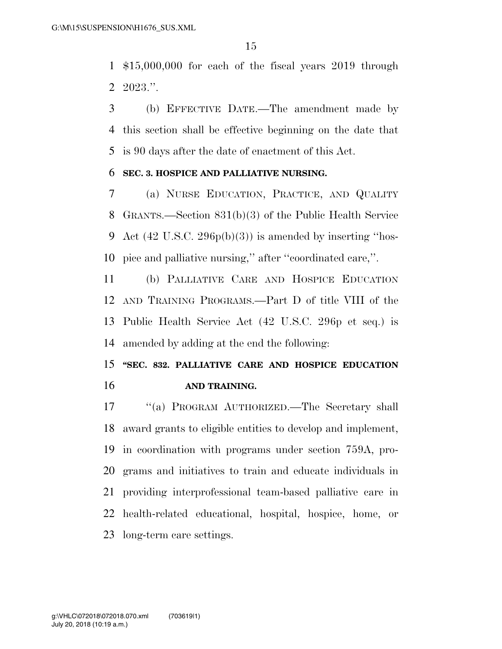\$15,000,000 for each of the fiscal years 2019 through 2023.''.

 (b) EFFECTIVE DATE.—The amendment made by this section shall be effective beginning on the date that is 90 days after the date of enactment of this Act.

### **SEC. 3. HOSPICE AND PALLIATIVE NURSING.**

 (a) NURSE EDUCATION, PRACTICE, AND QUALITY GRANTS.—Section 831(b)(3) of the Public Health Service 9 Act  $(42 \text{ U.S.C. } 296p(b)(3))$  is amended by inserting "hos-pice and palliative nursing,'' after ''coordinated care,''.

 (b) PALLIATIVE CARE AND HOSPICE EDUCATION AND TRAINING PROGRAMS.—Part D of title VIII of the Public Health Service Act (42 U.S.C. 296p et seq.) is amended by adding at the end the following:

### **''SEC. 832. PALLIATIVE CARE AND HOSPICE EDUCATION AND TRAINING.**

 ''(a) PROGRAM AUTHORIZED.—The Secretary shall award grants to eligible entities to develop and implement, in coordination with programs under section 759A, pro- grams and initiatives to train and educate individuals in providing interprofessional team-based palliative care in health-related educational, hospital, hospice, home, or long-term care settings.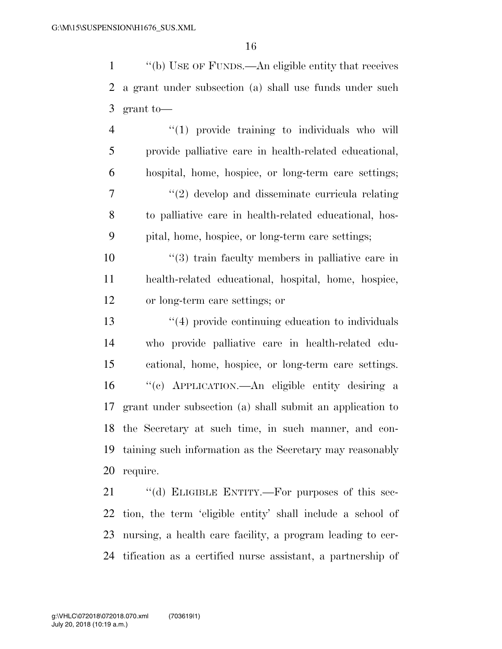''(b) USE OF FUNDS.—An eligible entity that receives a grant under subsection (a) shall use funds under such grant to—

 ''(1) provide training to individuals who will provide palliative care in health-related educational, hospital, home, hospice, or long-term care settings; 7 ''(2) develop and disseminate curricula relating to palliative care in health-related educational, hos-pital, home, hospice, or long-term care settings;

 ''(3) train faculty members in palliative care in health-related educational, hospital, home, hospice, or long-term care settings; or

 ''(4) provide continuing education to individuals who provide palliative care in health-related edu- cational, home, hospice, or long-term care settings. ''(c) APPLICATION.—An eligible entity desiring a grant under subsection (a) shall submit an application to the Secretary at such time, in such manner, and con- taining such information as the Secretary may reasonably require.

21 "(d) ELIGIBLE ENTITY.—For purposes of this sec- tion, the term 'eligible entity' shall include a school of nursing, a health care facility, a program leading to cer-tification as a certified nurse assistant, a partnership of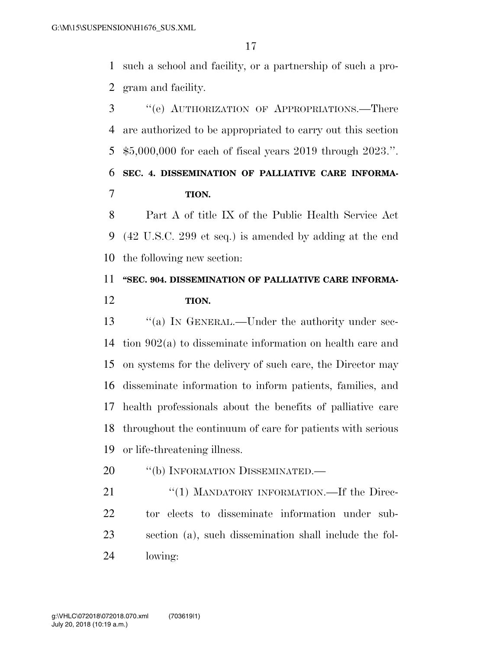such a school and facility, or a partnership of such a pro-gram and facility.

 ''(e) AUTHORIZATION OF APPROPRIATIONS.—There are authorized to be appropriated to carry out this section \$5,000,000 for each of fiscal years 2019 through 2023.''. **SEC. 4. DISSEMINATION OF PALLIATIVE CARE INFORMA-TION.** 

 Part A of title IX of the Public Health Service Act (42 U.S.C. 299 et seq.) is amended by adding at the end the following new section:

## **''SEC. 904. DISSEMINATION OF PALLIATIVE CARE INFORMA-TION.**

 ''(a) IN GENERAL.—Under the authority under sec- tion 902(a) to disseminate information on health care and on systems for the delivery of such care, the Director may disseminate information to inform patients, families, and health professionals about the benefits of palliative care throughout the continuum of care for patients with serious or life-threatening illness.

- 20 "(b) INFORMATION DISSEMINATED.—
- 21 "(1) MANDATORY INFORMATION.—If the Direc- tor elects to disseminate information under sub- section (a), such dissemination shall include the fol-lowing: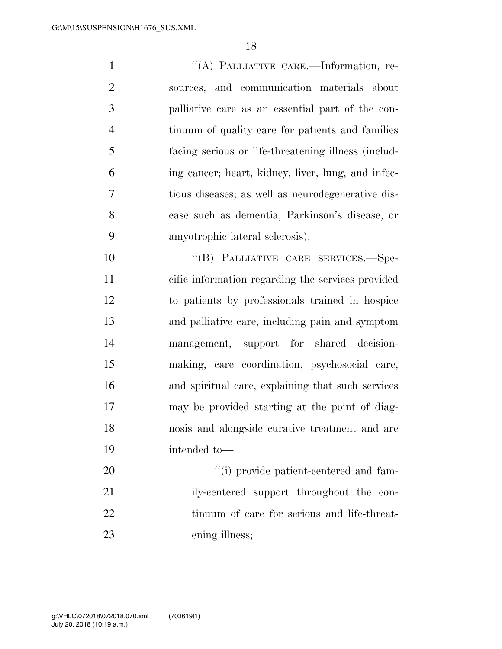''(A) PALLIATIVE CARE.—Information, re- sources, and communication materials about palliative care as an essential part of the con- tinuum of quality care for patients and families facing serious or life-threatening illness (includ- ing cancer; heart, kidney, liver, lung, and infec- tious diseases; as well as neurodegenerative dis- ease such as dementia, Parkinson's disease, or amyotrophic lateral sclerosis).

10 "(B) PALLIATIVE CARE SERVICES.—Spe- cific information regarding the services provided to patients by professionals trained in hospice and palliative care, including pain and symptom management, support for shared decision- making, care coordination, psychosocial care, and spiritual care, explaining that such services may be provided starting at the point of diag- nosis and alongside curative treatment and are intended to—

 $\frac{1}{20}$  i) provide patient-centered and fam-21 ily-centered support throughout the con- tinuum of care for serious and life-threat-ening illness;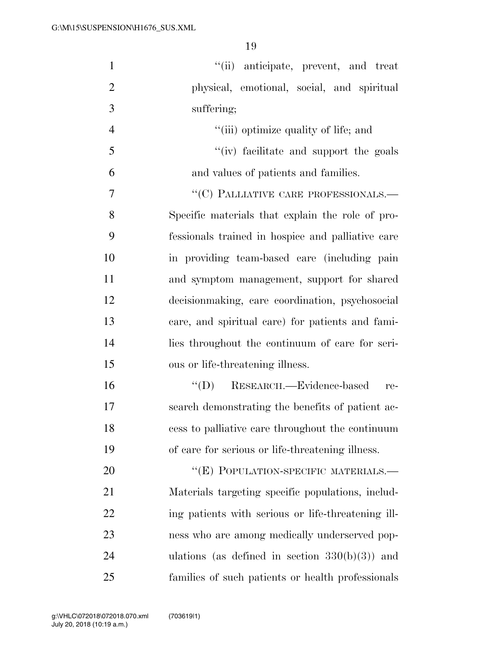| $\mathbf{1}$   | "(ii) anticipate, prevent, and treat               |
|----------------|----------------------------------------------------|
| $\overline{2}$ | physical, emotional, social, and spiritual         |
| 3              | suffering;                                         |
| $\overline{4}$ | "(iii) optimize quality of life; and               |
| 5              | "(iv) facilitate and support the goals             |
| 6              | and values of patients and families.               |
| $\overline{7}$ | $``(C)$ PALLIATIVE CARE PROFESSIONALS.—            |
| 8              | Specific materials that explain the role of pro-   |
| 9              | fessionals trained in hospice and palliative care  |
| 10             | in providing team-based care (including pain       |
| 11             | and symptom management, support for shared         |
| 12             | decision making, care coordination, psychosocial   |
| 13             | care, and spiritual care) for patients and fami-   |
| 14             | lies throughout the continuum of care for seri-    |
| 15             | ous or life-threatening illness.                   |
| 16             | "(D) RESEARCH.—Evidence-based<br>re-               |
| 17             | search demonstrating the benefits of patient ac-   |
| 18             | cess to palliative care throughout the continuum   |
| 19             | of care for serious or life-threatening illness.   |
| 20             | "(E) POPULATION-SPECIFIC MATERIALS.-               |
| 21             | Materials targeting specific populations, includ-  |
| 22             | ing patients with serious or life-threatening ill- |
| 23             | ness who are among medically underserved pop-      |
| 24             | ulations (as defined in section $330(b)(3)$ ) and  |
| 25             | families of such patients or health professionals  |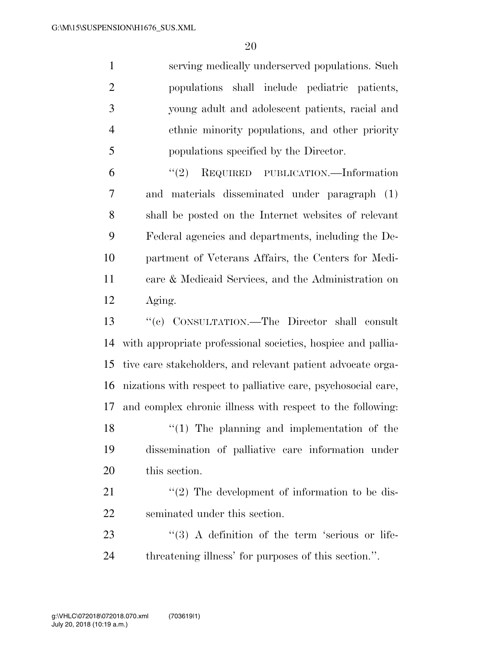|                          | serving medically underserved populations. Such |
|--------------------------|-------------------------------------------------|
|                          | populations shall include pediatric patients,   |
| 3                        | young adult and adolescent patients, racial and |
|                          | ethnic minority populations, and other priority |
| $\overline{\mathcal{L}}$ | populations specified by the Director.          |
|                          |                                                 |

 ''(2) REQUIRED PUBLICATION.—Information and materials disseminated under paragraph (1) shall be posted on the Internet websites of relevant Federal agencies and departments, including the De- partment of Veterans Affairs, the Centers for Medi- care & Medicaid Services, and the Administration on Aging.

 ''(c) CONSULTATION.—The Director shall consult with appropriate professional societies, hospice and pallia- tive care stakeholders, and relevant patient advocate orga- nizations with respect to palliative care, psychosocial care, and complex chronic illness with respect to the following: 18 ''(1) The planning and implementation of the dissemination of palliative care information under this section.

21  $\langle \langle 2 \rangle$  The development of information to be dis-seminated under this section.

23 ''(3) A definition of the term 'serious or life-threatening illness' for purposes of this section.''.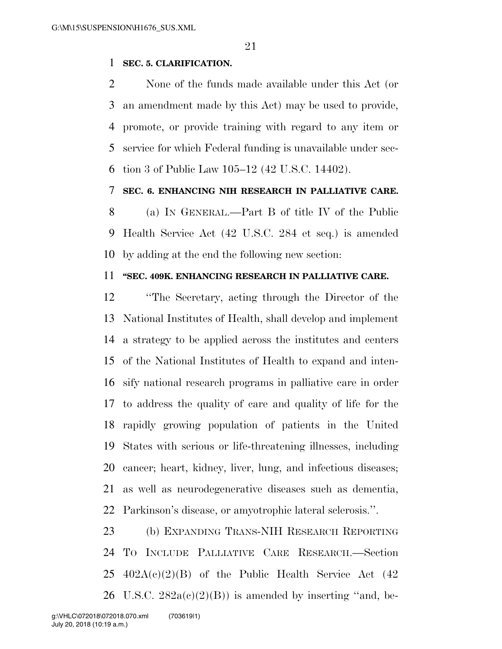### **SEC. 5. CLARIFICATION.**

 None of the funds made available under this Act (or an amendment made by this Act) may be used to provide, promote, or provide training with regard to any item or service for which Federal funding is unavailable under sec-tion 3 of Public Law 105–12 (42 U.S.C. 14402).

### **SEC. 6. ENHANCING NIH RESEARCH IN PALLIATIVE CARE.**

 (a) IN GENERAL.—Part B of title IV of the Public Health Service Act (42 U.S.C. 284 et seq.) is amended by adding at the end the following new section:

### **''SEC. 409K. ENHANCING RESEARCH IN PALLIATIVE CARE.**

 ''The Secretary, acting through the Director of the National Institutes of Health, shall develop and implement a strategy to be applied across the institutes and centers of the National Institutes of Health to expand and inten- sify national research programs in palliative care in order to address the quality of care and quality of life for the rapidly growing population of patients in the United States with serious or life-threatening illnesses, including cancer; heart, kidney, liver, lung, and infectious diseases; as well as neurodegenerative diseases such as dementia, Parkinson's disease, or amyotrophic lateral sclerosis.''.

 (b) EXPANDING TRANS-NIH RESEARCH REPORTING TO INCLUDE PALLIATIVE CARE RESEARCH.—Section  $25 \text{ } 402\text{A}(c)(2)(B)$  of the Public Health Service Act  $(42)$ 26 U.S.C.  $282a(c)(2)(B)$  is amended by inserting "and, be